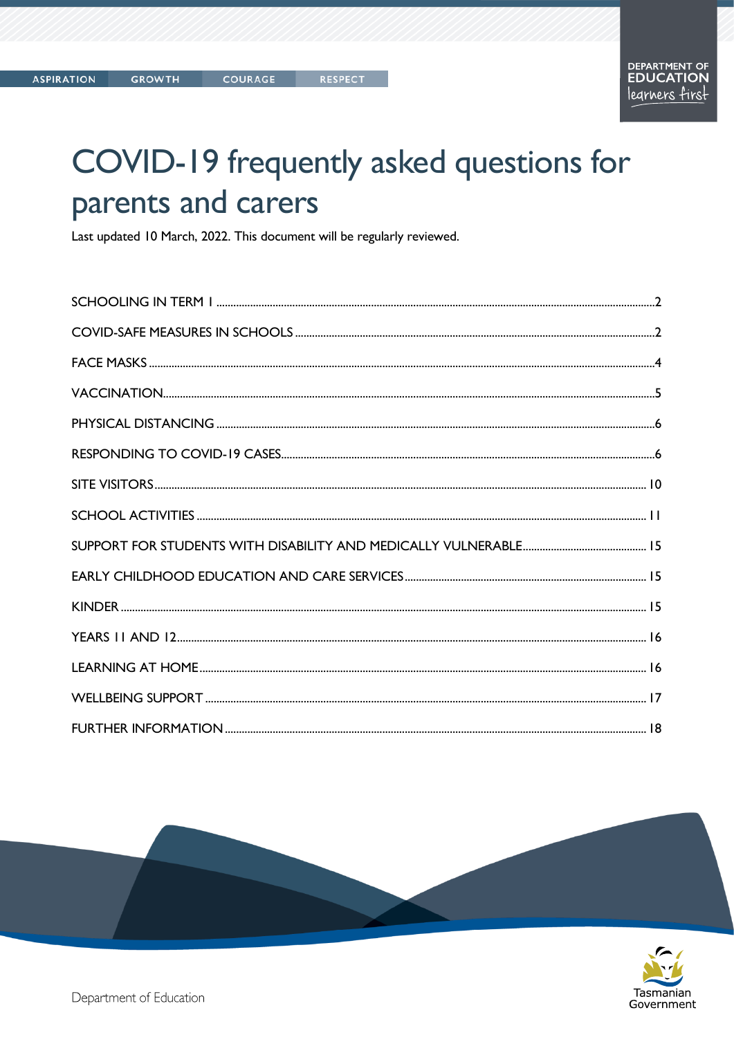# COVID-19 frequently asked questions for parents and carers

Last updated 10 March, 2022. This document will be regularly reviewed.



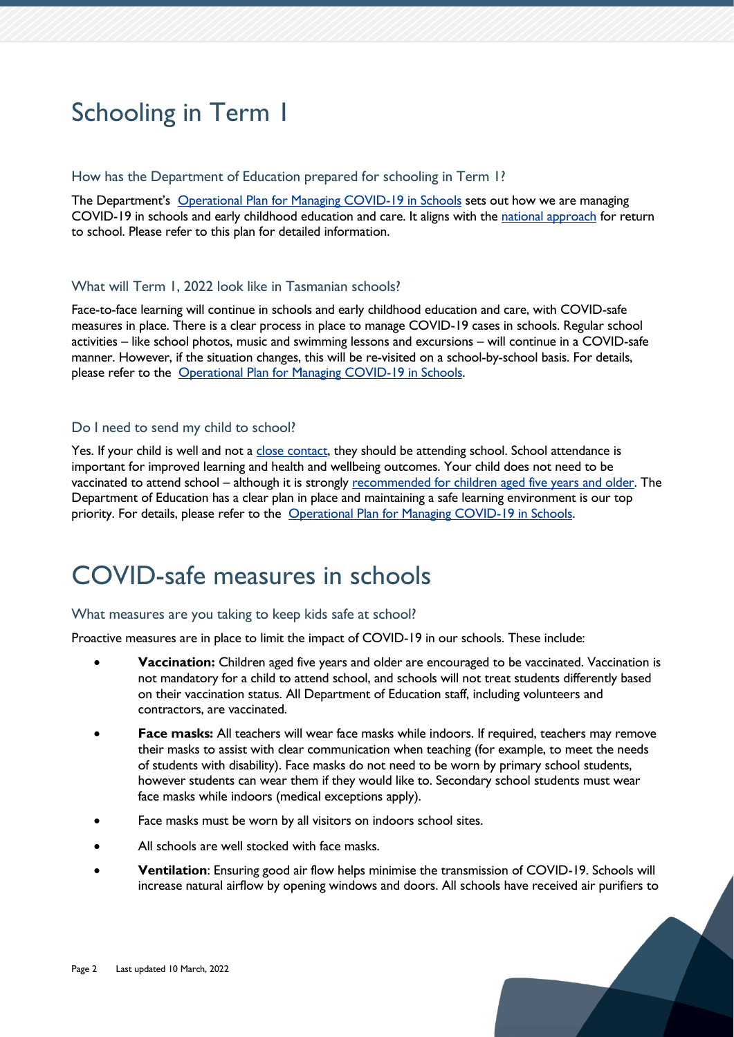# <span id="page-1-0"></span>Schooling in Term 1

#### How has the Department of Education prepared for schooling in Term 1?

The Department's [Operational Plan for Managing COVID-19 in Schools](https://www.education.tas.gov.au/parents-carers/novel-coronavirus-covid-19/covid-operational-plan/) sets out how we are managing COVID-19 in schools and early childhood education and care. It aligns with the [national approach](https://www.pm.gov.au/sites/default/files/media/National%20Framework%20for%20Managing%20COVID-19%20in%20Schools%20and%20Early%20Childhood%20Education%20and%20Care.pdf) for return to school. Please refer to this plan for detailed information.

# What will Term 1, 2022 look like in Tasmanian schools?

Face-to-face learning will continue in schools and early childhood education and care, with COVID-safe measures in place. There is a clear process in place to manage COVID-19 cases in schools. Regular school activities – like school photos, music and swimming lessons and excursions – will continue in a COVID-safe manner. However, if the situation changes, this will be re-visited on a school-by-school basis. For details, please refer to the [Operational Plan for Managing COVID-19 in Schools.](https://www.education.tas.gov.au/parents-carers/novel-coronavirus-covid-19/covid-operational-plan/)

# Do I need to send my child to school?

Yes. If your child is well and not a [close contact,](https://www.coronavirus.tas.gov.au/keeping-yourself-safe/contact-tracing/advice-for-close-contacts) they should be attending school. School attendance is important for improved learning and health and wellbeing outcomes. Your child does not need to be vaccinated to attend school – although it is strongly recommended [for children aged five years and older.](https://www.coronavirus.tas.gov.au/vaccination-information/covid-19-vaccination) The Department of Education has a clear plan in place and maintaining a safe learning environment is our top priority. For details, please refer to the [Operational Plan for Managing COVID-19 in Schools.](https://www.education.tas.gov.au/parents-carers/novel-coronavirus-covid-19/covid-operational-plan/)

# <span id="page-1-1"></span>COVID-safe measures in schools

# What measures are you taking to keep kids safe at school?

Proactive measures are in place to limit the impact of COVID-19 in our schools. These include:

- **Vaccination:** Children aged five years and older are encouraged to be vaccinated. Vaccination is not mandatory for a child to attend school, and schools will not treat students differently based on their vaccination status. All Department of Education staff, including volunteers and contractors, are vaccinated.
- **Face masks:** All teachers will wear face masks while indoors. If required, teachers may remove their masks to assist with clear communication when teaching (for example, to meet the needs of students with disability). Face masks do not need to be worn by primary school students, however students can wear them if they would like to. Secondary school students must wear face masks while indoors (medical exceptions apply).
- Face masks must be worn by all visitors on indoors school sites.
- All schools are well stocked with face masks.
- **Ventilation**: Ensuring good air flow helps minimise the transmission of COVID-19. Schools will increase natural airflow by opening windows and doors. All schools have received air purifiers to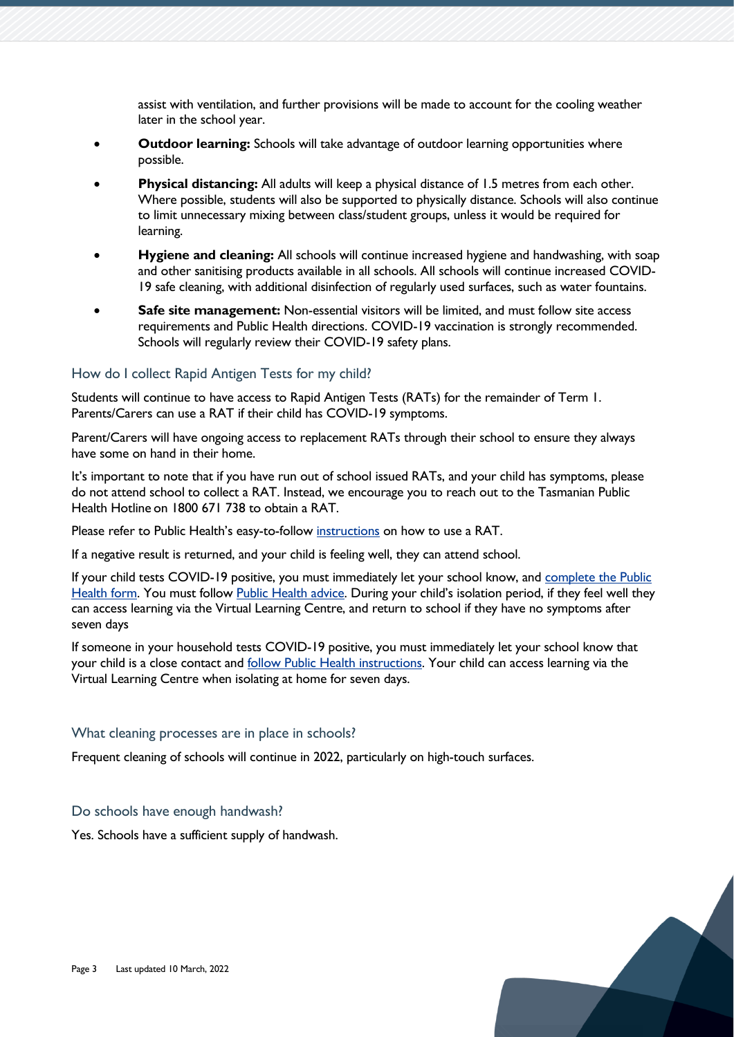assist with ventilation, and further provisions will be made to account for the cooling weather later in the school year.

- **Outdoor learning:** Schools will take advantage of outdoor learning opportunities where possible.
- **Physical distancing:** All adults will keep a physical distance of 1.5 metres from each other. Where possible, students will also be supported to physically distance. Schools will also continue to limit unnecessary mixing between class/student groups, unless it would be required for learning.
- **Hygiene and cleaning:** All schools will continue increased hygiene and handwashing, with soap and other sanitising products available in all schools. All schools will continue increased COVID-19 safe cleaning, with additional disinfection of regularly used surfaces, such as water fountains.
- **Safe site management:** Non-essential visitors will be limited, and must follow site access requirements and Public Health directions. COVID-19 vaccination is strongly recommended. Schools will regularly review their COVID-19 safety plans.

### How do I collect Rapid Antigen Tests for my child?

Students will continue to have access to Rapid Antigen Tests (RATs) for the remainder of Term 1. Parents/Carers can use a RAT if their child has COVID-19 symptoms.

Parent/Carers will have ongoing access to replacement RATs through their school to ensure they always have some on hand in their home.

It's important to note that if you have run out of school issued RATs, and your child has symptoms, please do not attend school to collect a RAT. Instead, we encourage you to reach out to the Tasmanian Public Health Hotline on 1800 671 738 to obtain a RAT.

Please refer to Public Health's easy-to-follow [instructions](https://www.coronavirus.tas.gov.au/__data/assets/pdf_file/0036/198954/Infographic-How-to-do-a-nasal-RAT.pdf) on how to use a RAT.

If a negative result is returned, and your child is feeling well, they can attend school.

If your child tests COVID-19 positive, you must immediately let your school know, and [complete the Public](https://form.jotform.com/220047395346052)  [Health form.](https://form.jotform.com/220047395346052) You must follow [Public Health advice](https://www.coronavirus.tas.gov.au/keeping-yourself-safe/testing-for-covid-19/after-you-get-tested#If-you-test-positive-to-COVID-19). During your child's isolation period, if they feel well they can access learning via the Virtual Learning Centre, and return to school if they have no symptoms after seven days

If someone in your household tests COVID-19 positive, you must immediately let your school know that your child is a close contact and [follow Public Health instructions.](https://www.coronavirus.tas.gov.au/keeping-yourself-safe/contact-tracing/advice-for-contacts) Your child can access learning via the Virtual Learning Centre when isolating at home for seven days.

#### What cleaning processes are in place in schools?

Frequent cleaning of schools will continue in 2022, particularly on high-touch surfaces.

#### Do schools have enough handwash?

Yes. Schools have a sufficient supply of handwash.

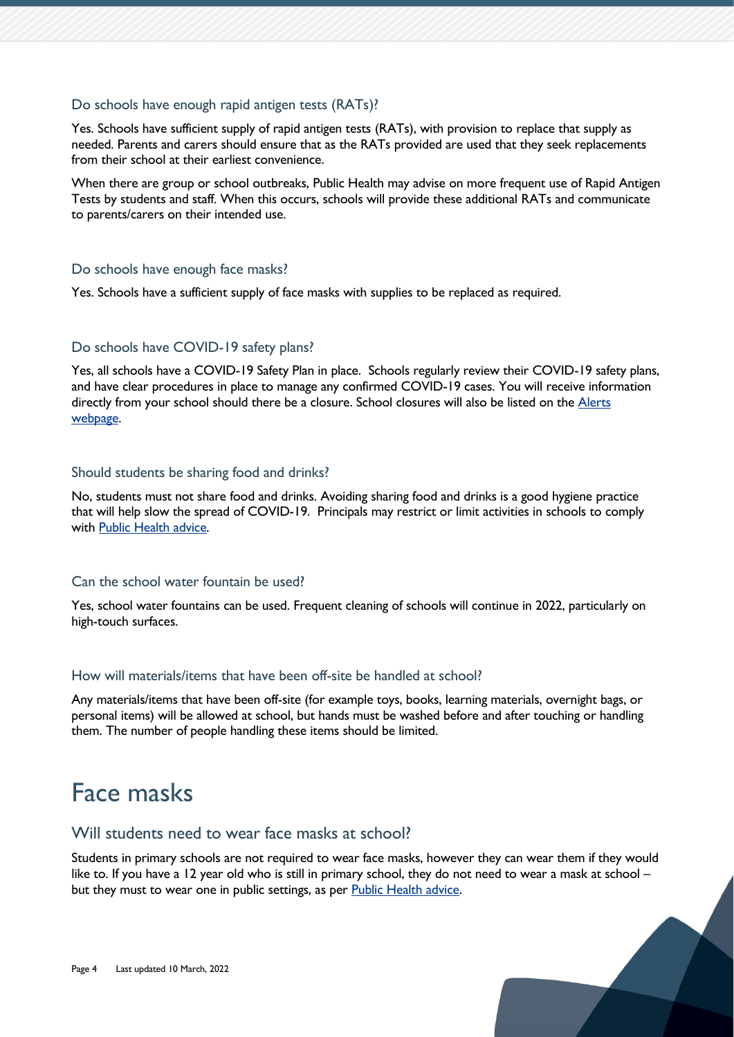### Do schools have enough rapid antigen tests (RATs)?

Yes. Schools have sufficient supply of rapid antigen tests (RATs), with provision to replace that supply as needed. Parents and carers should ensure that as the RATs provided are used that they seek replacements from their school at their earliest convenience.

When there are group or school outbreaks, Public Health may advise on more frequent use of Rapid Antigen Tests by students and staff. When this occurs, schools will provide these additional RATs and communicate to parents/carers on their intended use.

#### Do schools have enough face masks?

Yes. Schools have a sufficient supply of face masks with supplies to be replaced as required.

# Do schools have COVID-19 safety plans?

Yes, all schools have a COVID-19 Safety Plan in place. Schools regularly review their COVID-19 safety plans, and have clear procedures in place to manage any confirmed COVID-19 cases. You will receive information directly from your school should there be a closure. School closures will also be listed on the Alerts [webpage.](https://www.education.tas.gov.au/about-us/alerts/)

#### Should students be sharing food and drinks?

No, students must not share food and drinks. Avoiding sharing food and drinks is a good hygiene practice that will help slow the spread of COVID-19. Principals may restrict or limit activities in schools to comply with [Public Health advice.](https://www.coronavirus.tas.gov.au/keeping-yourself-safe/face-masks/mandatory-mask-wearing-in-public)

#### Can the school water fountain be used?

Yes, school water fountains can be used. Frequent cleaning of schools will continue in 2022, particularly on high-touch surfaces.

#### How will materials/items that have been off-site be handled at school?

Any materials/items that have been off-site (for example toys, books, learning materials, overnight bags, or personal items) will be allowed at school, but hands must be washed before and after touching or handling them. The number of people handling these items should be limited.

# <span id="page-3-0"></span>Face masks

# Will students need to wear face masks at school?

Students in primary schools are not required to wear face masks, however they can wear them if they would like to. If you have a 12 year old who is still in primary school, they do not need to wear a mask at school – but they must to wear one in public settings, as per [Public Health advice.](https://www.coronavirus.tas.gov.au/keeping-yourself-safe/face-masks/mandatory-mask-wearing-in-public)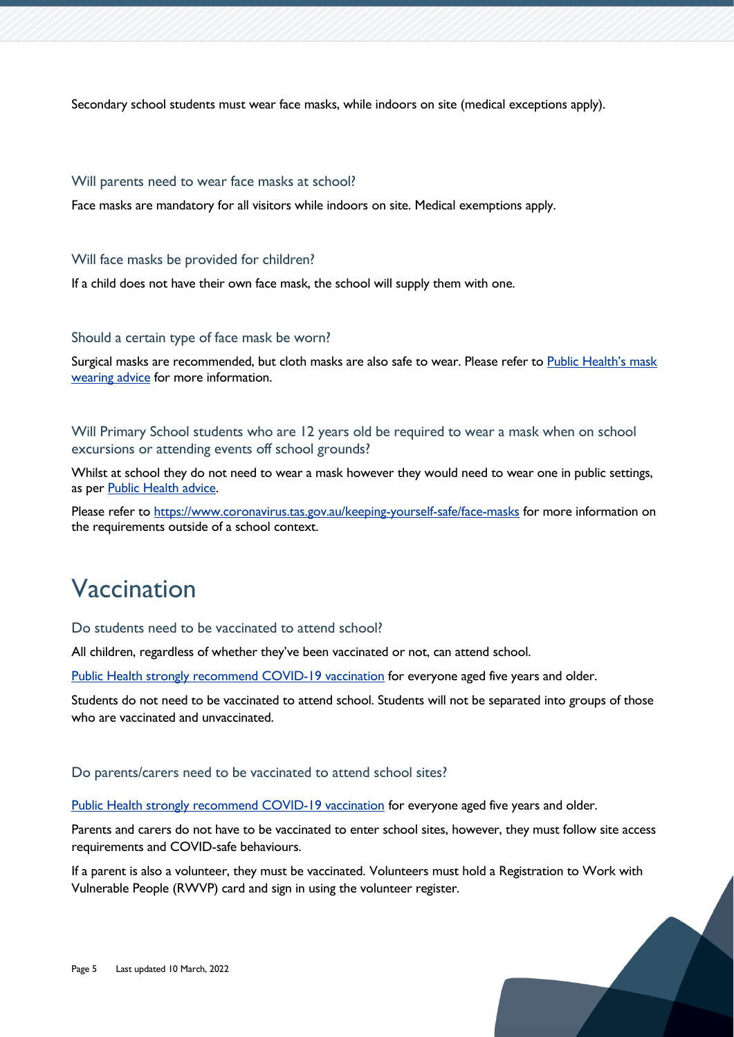Secondary school students must wear face masks, while indoors on site (medical exceptions apply).

#### Will parents need to wear face masks at school?

Face masks are mandatory for all visitors while indoors on site. Medical exemptions apply.

#### Will face masks be provided for children?

If a child does not have their own face mask, the school will supply them with one.

#### Should a certain type of face mask be worn?

Surgical masks are recommended, but cloth masks are also safe to wear. Please refer to Public Health's mask [wearing advice](https://www.coronavirus.tas.gov.au/keeping-yourself-safe/face-masks/mask-wearing-advice-and-resources) for more information.

# Will Primary School students who are 12 years old be required to wear a mask when on school excursions or attending events off school grounds?

Whilst at school they do not need to wear a mask however they would need to wear one in public settings, as per [Public Health advice.](https://www.coronavirus.tas.gov.au/keeping-yourself-safe/face-masks/mandatory-mask-wearing-in-public)

Please refer to<https://www.coronavirus.tas.gov.au/keeping-yourself-safe/face-masks> for more information on the requirements outside of a school context.

# <span id="page-4-0"></span>Vaccination

# Do students need to be vaccinated to attend school?

All children, regardless of whether they've been vaccinated or not, can attend school.

[Public Health strongly recommend COVID-19 vaccination](http://www.coronavirus.tas.gov.au/vaccination-information/covid-19-vaccination) for everyone aged five years and older.

Students do not need to be vaccinated to attend school. Students will not be separated into groups of those who are vaccinated and unvaccinated.

#### Do parents/carers need to be vaccinated to attend school sites?

[Public Health strongly recommend COVID-19 vaccination](https://www.coronavirus.tas.gov.au/vaccination-information/covid-19-vaccination) for everyone aged five years and older.

Parents and carers do not have to be vaccinated to enter school sites, however, they must follow site access requirements and COVID-safe behaviours.

If a parent is also a volunteer, they must be vaccinated. Volunteers must hold a Registration to Work with Vulnerable People (RWVP) card and sign in using the volunteer register.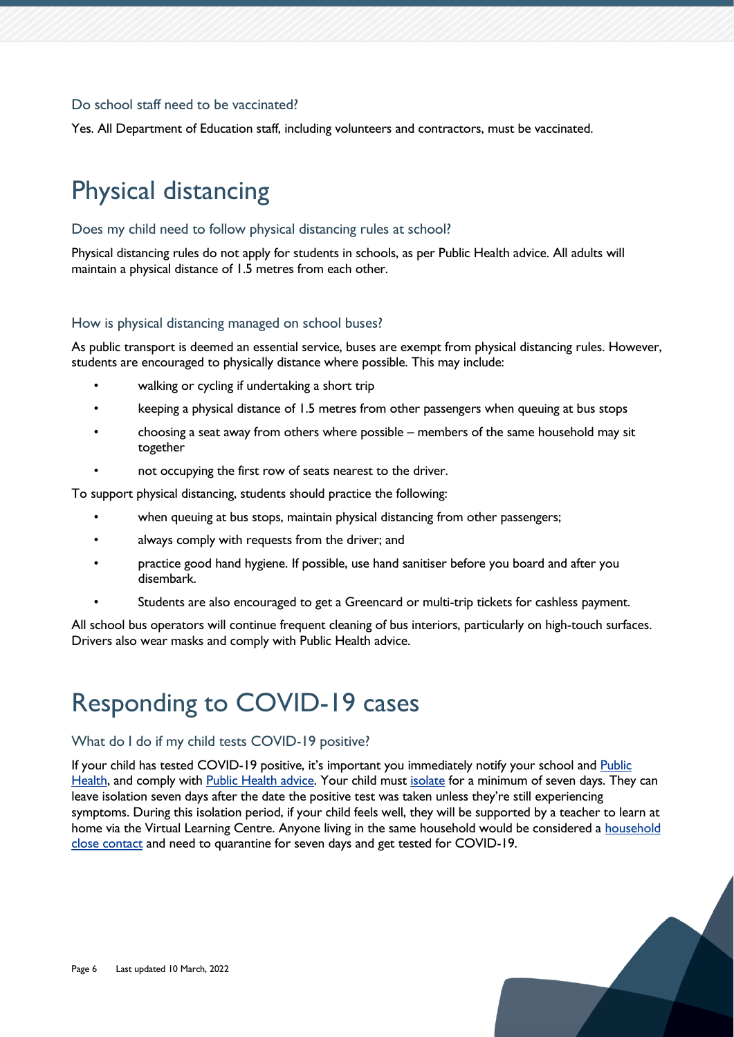# Do school staff need to be vaccinated?

Yes. All Department of Education staff, including volunteers and contractors, must be vaccinated.

# <span id="page-5-0"></span>Physical distancing

# Does my child need to follow physical distancing rules at school?

Physical distancing rules do not apply for students in schools, as per Public Health advice. All adults will maintain a physical distance of 1.5 metres from each other.

# How is physical distancing managed on school buses?

As public transport is deemed an essential service, buses are exempt from physical distancing rules. However, students are encouraged to physically distance where possible. This may include:

- walking or cycling if undertaking a short trip
- keeping a physical distance of 1.5 metres from other passengers when queuing at bus stops
- choosing a seat away from others where possible members of the same household may sit together
- not occupying the first row of seats nearest to the driver.

To support physical distancing, students should practice the following:

- when queuing at bus stops, maintain physical distancing from other passengers;
- always comply with requests from the driver; and
- practice good hand hygiene. If possible, use hand sanitiser before you board and after you disembark.
- Students are also encouraged to get a Greencard or multi-trip tickets for cashless payment.

All school bus operators will continue frequent cleaning of bus interiors, particularly on high-touch surfaces. Drivers also wear masks and comply with Public Health advice.

# <span id="page-5-1"></span>Responding to COVID-19 cases

# What do I do if my child tests COVID-19 positive?

If your child has tested COVID-19 positive, it's important you immediately notify your school and [Public](https://aus01.safelinks.protection.outlook.com/?url=https%3A%2F%2Fform.jotform.com%2F220047395346052&data=04%7C01%7CAaron.Gadd%40education.tas.gov.au%7C0d824efeae6e423c2ce408d9e9c06b51%7Ca9be3ac70c60491e8b3ba32f8f46aec8%7C1%7C0%7C637797834917685915%7CUnknown%7CTWFpbGZsb3d8eyJWIjoiMC4wLjAwMDAiLCJQIjoiV2luMzIiLCJBTiI6Ik1haWwiLCJXVCI6Mn0%3D%7C3000&sdata=X1qJUHNBGJ4yRdVJP27FaPQDQSrexsNyG3L94b1I1Rw%3D&reserved=0)  [Health,](https://aus01.safelinks.protection.outlook.com/?url=https%3A%2F%2Fform.jotform.com%2F220047395346052&data=04%7C01%7CAaron.Gadd%40education.tas.gov.au%7C0d824efeae6e423c2ce408d9e9c06b51%7Ca9be3ac70c60491e8b3ba32f8f46aec8%7C1%7C0%7C637797834917685915%7CUnknown%7CTWFpbGZsb3d8eyJWIjoiMC4wLjAwMDAiLCJQIjoiV2luMzIiLCJBTiI6Ik1haWwiLCJXVCI6Mn0%3D%7C3000&sdata=X1qJUHNBGJ4yRdVJP27FaPQDQSrexsNyG3L94b1I1Rw%3D&reserved=0) and comply with [Public Health advice.](https://aus01.safelinks.protection.outlook.com/?url=https%3A%2F%2Fwww.coronavirus.tas.gov.au%2Fkeeping-yourself-safe%2Fwhat-to-do-if-you-test-positive-to-covid-19-checklist&data=04%7C01%7CAaron.Gadd%40education.tas.gov.au%7C0d824efeae6e423c2ce408d9e9c06b51%7Ca9be3ac70c60491e8b3ba32f8f46aec8%7C1%7C0%7C637797834917685915%7CUnknown%7CTWFpbGZsb3d8eyJWIjoiMC4wLjAwMDAiLCJQIjoiV2luMzIiLCJBTiI6Ik1haWwiLCJXVCI6Mn0%3D%7C3000&sdata=MON7ODptJ7Mbw%2Fzbd9kAUD0wfER8W2d6mUdJuqVaQaw%3D&reserved=0) Your child must [isolate](https://aus01.safelinks.protection.outlook.com/?url=https%3A%2F%2Fwww.coronavirus.tas.gov.au%2Fkeeping-yourself-safe%2Fisolation&data=04%7C01%7CAaron.Gadd%40education.tas.gov.au%7C0d824efeae6e423c2ce408d9e9c06b51%7Ca9be3ac70c60491e8b3ba32f8f46aec8%7C1%7C0%7C637797834917685915%7CUnknown%7CTWFpbGZsb3d8eyJWIjoiMC4wLjAwMDAiLCJQIjoiV2luMzIiLCJBTiI6Ik1haWwiLCJXVCI6Mn0%3D%7C3000&sdata=i4zJLvToyi5nwwsmft9fVLsXDgbMTu5rTCslufRlGGs%3D&reserved=0) for a minimum of seven days. They can leave isolation seven days after the date the positive test was taken unless they're still experiencing symptoms. During this isolation period, if your child feels well, they will be supported by a teacher to learn at home via the Virtual Learning Centre. Anyone living in the same [household](https://aus01.safelinks.protection.outlook.com/?url=https%3A%2F%2Fwww.coronavirus.tas.gov.au%2Fkeeping-yourself-safe%2Fcontact-tracing%2Fadvice-for-contacts&data=04%7C01%7CAaron.Gadd%40education.tas.gov.au%7C0d824efeae6e423c2ce408d9e9c06b51%7Ca9be3ac70c60491e8b3ba32f8f46aec8%7C1%7C0%7C637797834917685915%7CUnknown%7CTWFpbGZsb3d8eyJWIjoiMC4wLjAwMDAiLCJQIjoiV2luMzIiLCJBTiI6Ik1haWwiLCJXVCI6Mn0%3D%7C3000&sdata=aJqNE2ro6J9UdbDAvqzh%2FXgUVUO6Wf6nqPtLIzPfxN4%3D&reserved=0) would be considered a household [close contact](https://aus01.safelinks.protection.outlook.com/?url=https%3A%2F%2Fwww.coronavirus.tas.gov.au%2Fkeeping-yourself-safe%2Fcontact-tracing%2Fadvice-for-contacts&data=04%7C01%7CAaron.Gadd%40education.tas.gov.au%7C0d824efeae6e423c2ce408d9e9c06b51%7Ca9be3ac70c60491e8b3ba32f8f46aec8%7C1%7C0%7C637797834917685915%7CUnknown%7CTWFpbGZsb3d8eyJWIjoiMC4wLjAwMDAiLCJQIjoiV2luMzIiLCJBTiI6Ik1haWwiLCJXVCI6Mn0%3D%7C3000&sdata=aJqNE2ro6J9UdbDAvqzh%2FXgUVUO6Wf6nqPtLIzPfxN4%3D&reserved=0) and need to quarantine for seven days and get tested for COVID-19.

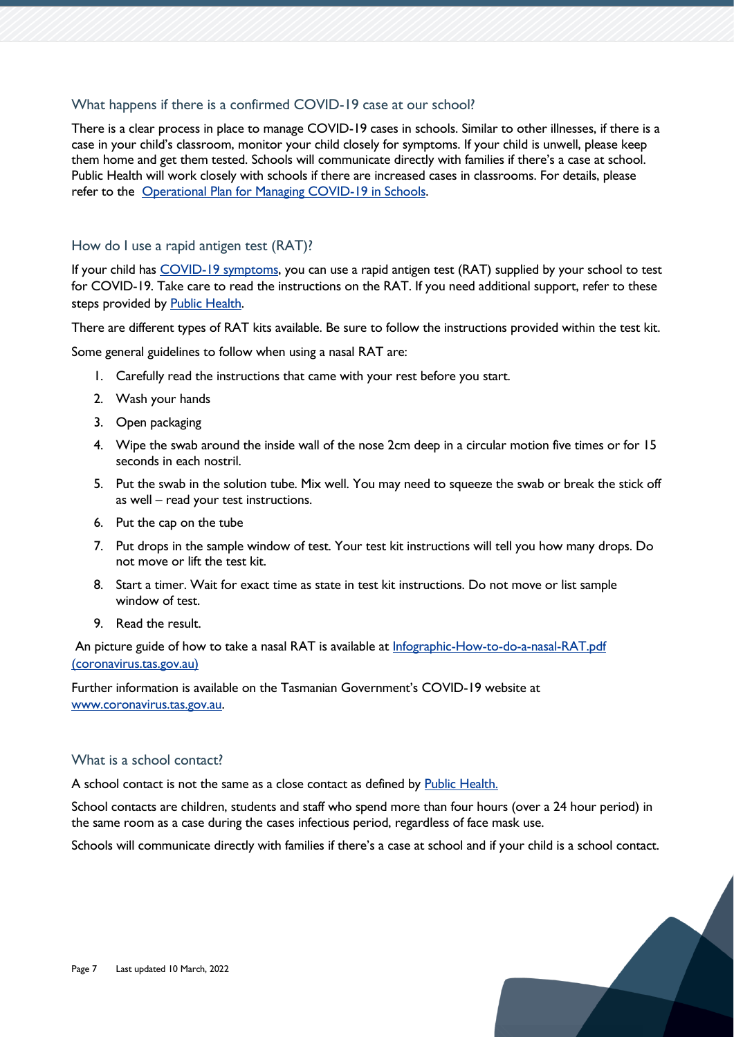# What happens if there is a confirmed COVID-19 case at our school?

There is a clear process in place to manage COVID-19 cases in schools. Similar to other illnesses, if there is a case in your child's classroom, monitor your child closely for symptoms. If your child is unwell, please keep them home and get them tested. Schools will communicate directly with families if there's a case at school. Public Health will work closely with schools if there are increased cases in classrooms. For details, please refer to the [Operational Plan for Managing COVID-19 in Schools.](https://www.education.tas.gov.au/parents-carers/novel-coronavirus-covid-19/covid-operational-plan/)

# How do I use a rapid antigen test (RAT)?

If your child has [COVID-19 symptoms,](https://www.coronavirus.tas.gov.au/keeping-yourself-safe/testing-for-covid-19/before-you-get-tested) you can use a rapid antigen test (RAT) supplied by your school to test for COVID-19. Take care to read the instructions on the RAT. If you need additional support, refer to these steps provided by [Public Health.](https://www.coronavirus.tas.gov.au/keeping-yourself-safe/testing-for-covid-19/types-of-covid-19-tests#Taking-a-rapid-antigen-test)

There are different types of RAT kits available. Be sure to follow the instructions provided within the test kit.

Some general guidelines to follow when using a nasal RAT are:

- 1. Carefully read the instructions that came with your rest before you start.
- 2. Wash your hands
- 3. Open packaging
- 4. Wipe the swab around the inside wall of the nose 2cm deep in a circular motion five times or for 15 seconds in each nostril.
- 5. Put the swab in the solution tube. Mix well. You may need to squeeze the swab or break the stick off as well – read your test instructions.
- 6. Put the cap on the tube
- 7. Put drops in the sample window of test. Your test kit instructions will tell you how many drops. Do not move or lift the test kit.
- 8. Start a timer. Wait for exact time as state in test kit instructions. Do not move or list sample window of test.
- 9. Read the result.

An picture guide of how to take a nasal RAT is available at Infographic-How-to-do-a-nasal-RAT.pdf [\(coronavirus.tas.gov.au\)](https://www.coronavirus.tas.gov.au/__data/assets/pdf_file/0036/198954/Infographic-How-to-do-a-nasal-RAT.pdf)

Further information is available on the Tasmanian Government's COVID-19 website at [www.coronavirus.tas.gov.au.](http://www.coronavirus.tas.gov.au/)

# What is a school contact?

A school contact is not the same as a close contact as defined by **Public Health**.

School contacts are children, students and staff who spend more than four hours (over a 24 hour period) in the same room as a case during the cases infectious period, regardless of face mask use.

Schools will communicate directly with families if there's a case at school and if your child is a school contact.

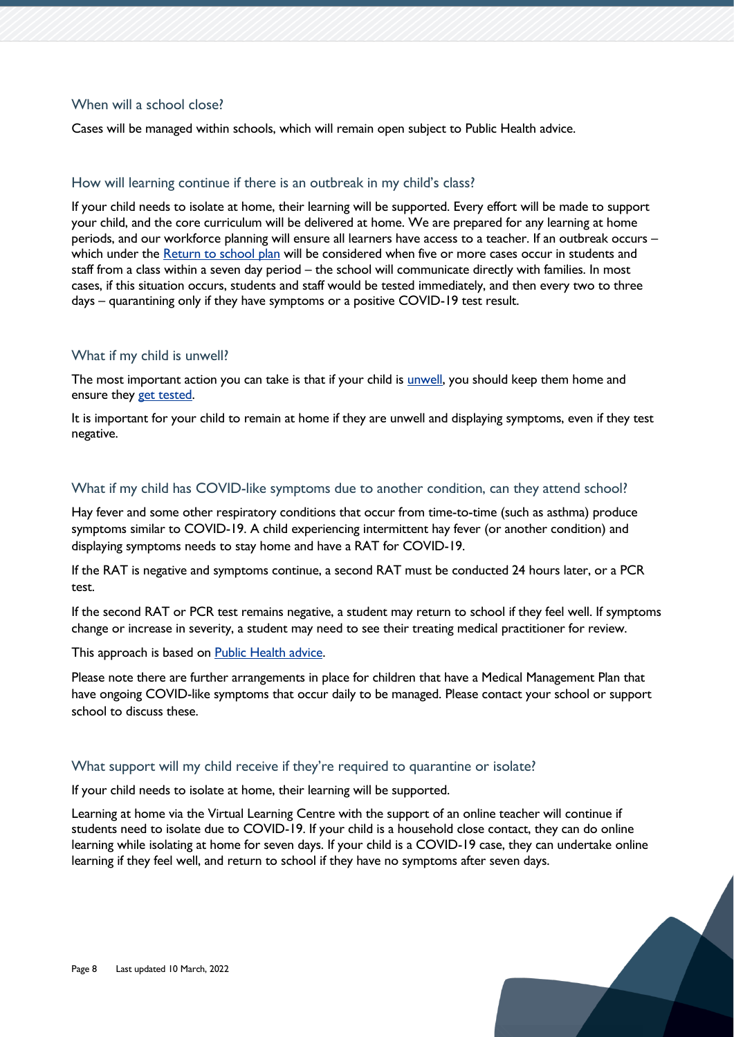# When will a school close?

Cases will be managed within schools, which will remain open subject to Public Health advice.

# How will learning continue if there is an outbreak in my child's class?

If your child needs to isolate at home, their learning will be supported. Every effort will be made to support your child, and the core curriculum will be delivered at home. We are prepared for any learning at home periods, and our workforce planning will ensure all learners have access to a teacher. If an outbreak occurs – which under the [Return to school plan](https://www.education.tas.gov.au/parents-carers/novel-coronavirus-covid-19/return-to-school/) will be considered when five or more cases occur in students and staff from a class within a seven day period – the school will communicate directly with families. In most cases, if this situation occurs, students and staff would be tested immediately, and then every two to three days – quarantining only if they have symptoms or a positive COVID-19 test result.

#### What if my child is unwell?

The most important action you can take is that if your child is [unwell,](https://www.coronavirus.tas.gov.au/keeping-yourself-safe/testing-for-covid-19/before-you-get-tested) you should keep them home and ensure they [get tested.](https://www.coronavirus.tas.gov.au/keeping-yourself-safe/testing-for-covid-19)

It is important for your child to remain at home if they are unwell and displaying symptoms, even if they test negative.

#### What if my child has COVID-like symptoms due to another condition, can they attend school?

Hay fever and some other respiratory conditions that occur from time-to-time (such as asthma) produce symptoms similar to COVID-19. A child experiencing intermittent hay fever (or another condition) and displaying symptoms needs to stay home and have a RAT for COVID-19.

If the RAT is negative and symptoms continue, a second RAT must be conducted 24 hours later, or a PCR test.

If the second RAT or PCR test remains negative, a student may return to school if they feel well. If symptoms change or increase in severity, a student may need to see their treating medical practitioner for review.

This approach is based on [Public Health advice.](https://www.coronavirus.tas.gov.au/keeping-yourself-safe/testing-for-covid-19/covid-19-symptoms#Hay-fever-symptoms)

Please note there are further arrangements in place for children that have a Medical Management Plan that have ongoing COVID-like symptoms that occur daily to be managed. Please contact your school or support school to discuss these.

#### What support will my child receive if they're required to quarantine or isolate?

If your child needs to isolate at home, their learning will be supported.

Learning at home via the Virtual Learning Centre with the support of an online teacher will continue if students need to isolate due to COVID-19. If your child is a household close contact, they can do online learning while isolating at home for seven days. If your child is a COVID-19 case, they can undertake online learning if they feel well, and return to school if they have no symptoms after seven days.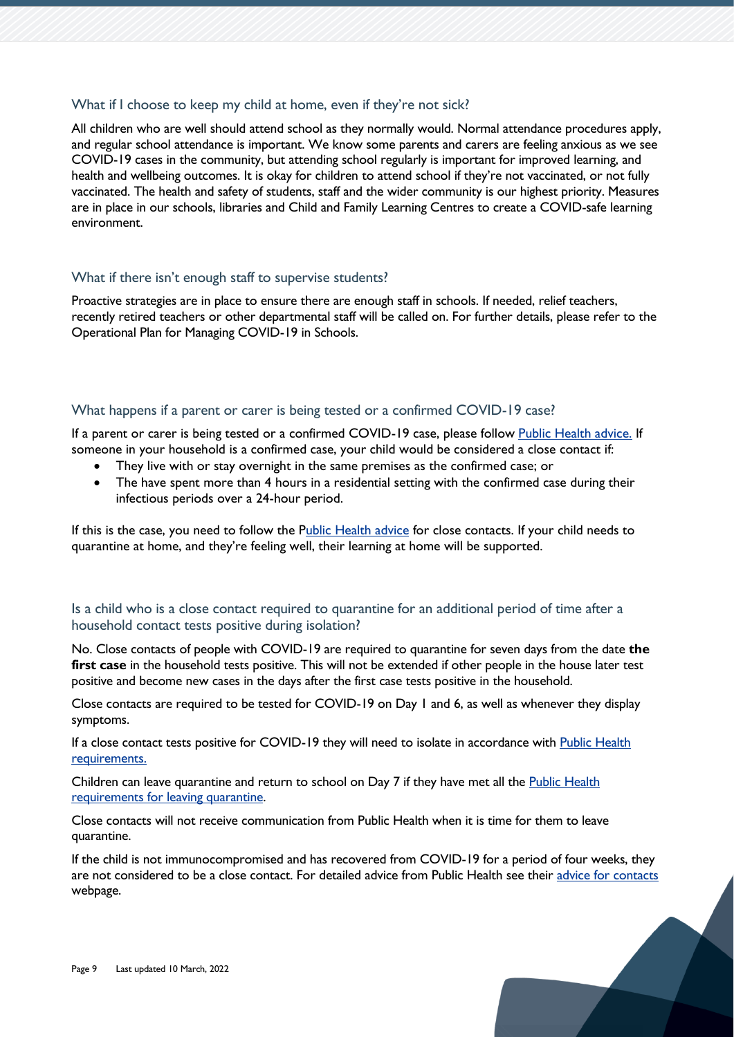### What if I choose to keep my child at home, even if they're not sick?

All children who are well should attend school as they normally would. Normal attendance procedures apply, and regular school attendance is important. We know some parents and carers are feeling anxious as we see COVID-19 cases in the community, but attending school regularly is important for improved learning, and health and wellbeing outcomes. It is okay for children to attend school if they're not vaccinated, or not fully vaccinated. The health and safety of students, staff and the wider community is our highest priority. Measures are in place in our schools, libraries and Child and Family Learning Centres to create a COVID-safe learning environment.

#### What if there isn't enough staff to supervise students?

Proactive strategies are in place to ensure there are enough staff in schools. If needed, relief teachers, recently retired teachers or other departmental staff will be called on. For further details, please refer to the [Operational Plan for Managing COVID-19 in Schools.](https://www.education.tas.gov.au/parents-carers/novel-coronavirus-covid-19/covid-operational-plan/)

### What happens if a parent or carer is being tested or a confirmed COVID-19 case?

If a parent or carer is being tested or a confirmed COVID-19 case, please follow [Public Health advice.](https://aus01.safelinks.protection.outlook.com/?url=https%3A%2F%2Fwww.coronavirus.tas.gov.au%2Fkeeping-yourself-safe%2Fcontact-tracing%2Fadvice-for-close-contacts&data=04%7C01%7Cjess.brewer%40education.tas.gov.au%7C3996865e296a4edb7d5008d9ed0db1d0%7Ca9be3ac70c60491e8b3ba32f8f46aec8%7C1%7C0%7C637801465343857573%7CUnknown%7CTWFpbGZsb3d8eyJWIjoiMC4wLjAwMDAiLCJQIjoiV2luMzIiLCJBTiI6Ik1haWwiLCJXVCI6Mn0%3D%7C3000&sdata=Gc%2FETn0tyk%2BhdbR6TJSf1%2FTvlskLyqj0Iso6j3UweHg%3D&reserved=0) If someone in your household is a confirmed case, your child would be considered a close contact if:

- They live with or stay overnight in the same premises as the confirmed case; or
- The have spent more than 4 hours in a residential setting with the confirmed case during their infectious periods over a 24-hour period.

If this is the case, you need to follow the [Public Health advice](https://aus01.safelinks.protection.outlook.com/?url=https%3A%2F%2Fwww.coronavirus.tas.gov.au%2Fkeeping-yourself-safe%2Fcontact-tracing%2Fadvice-for-close-contacts&data=04%7C01%7Cjess.brewer%40education.tas.gov.au%7C3996865e296a4edb7d5008d9ed0db1d0%7Ca9be3ac70c60491e8b3ba32f8f46aec8%7C1%7C0%7C637801465343857573%7CUnknown%7CTWFpbGZsb3d8eyJWIjoiMC4wLjAwMDAiLCJQIjoiV2luMzIiLCJBTiI6Ik1haWwiLCJXVCI6Mn0%3D%7C3000&sdata=Gc%2FETn0tyk%2BhdbR6TJSf1%2FTvlskLyqj0Iso6j3UweHg%3D&reserved=0) for close contacts. If your child needs to quarantine at home, and they're feeling well, their learning at home will be supported.

# Is a child who is a close contact required to quarantine for an additional period of time after a household contact tests positive during isolation?

No. Close contacts of people with COVID-19 are required to quarantine for seven days from the date **the first case** in the household tests positive. This will not be extended if other people in the house later test positive and become new cases in the days after the first case tests positive in the household.

Close contacts are required to be tested for COVID-19 on Day 1 and 6, as well as whenever they display symptoms.

If a close contact tests positive for COVID-19 they will need to isolate in accordance with Public Health [requirements.](https://www.coronavirus.tas.gov.au/keeping-yourself-safe/leaving-isolation-after-having-covid-19)

Children can leave quarantine and return to school on Day 7 if they have met all the [Public Health](https://www.coronavirus.tas.gov.au/keeping-yourself-safe/contact-tracing/advice-for-contacts)  [requirements for leaving quarantine.](https://www.coronavirus.tas.gov.au/keeping-yourself-safe/contact-tracing/advice-for-contacts)

Close contacts will not receive communication from Public Health when it is time for them to leave quarantine.

If the child is not immunocompromised and has recovered from COVID-19 for a period of four weeks, they are not considered to be a close contact. For detailed advice from Public Health see their [advice for contacts](https://www.coronavirus.tas.gov.au/keeping-yourself-safe/contact-tracing/advice-for-contacts) webpage.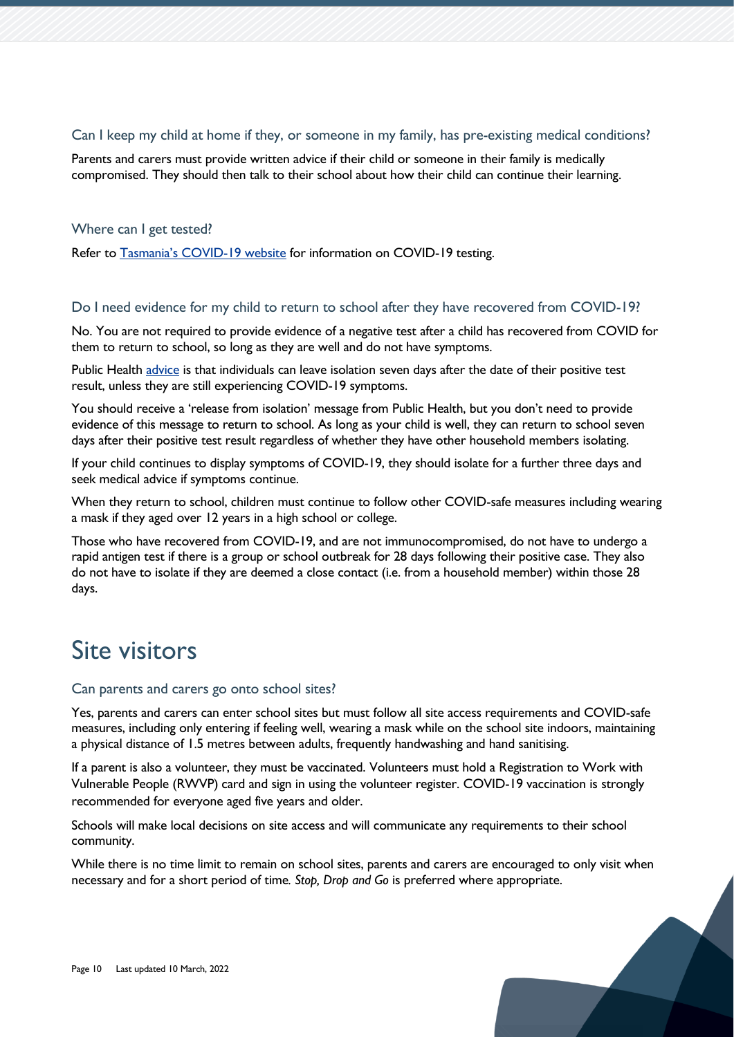# Can I keep my child at home if they, or someone in my family, has pre-existing medical conditions?

Parents and carers must provide written advice if their child or someone in their family is medically compromised. They should then talk to their school about how their child can continue their learning.

# Where can I get tested?

Refer to Tasmania's C[OVID-19 website](https://www.coronavirus.tas.gov.au/keeping-yourself-safe/testing-for-covid-19) for information on COVID-19 testing.

# Do I need evidence for my child to return to school after they have recovered from COVID-19?

No. You are not required to provide evidence of a negative test after a child has recovered from COVID for them to return to school, so long as they are well and do not have symptoms.

Public Health [advice](https://aus01.safelinks.protection.outlook.com/?url=https%3A%2F%2Fwww.coronavirus.tas.gov.au%2Fkeeping-yourself-safe%2Fleaving-isolation-after-having-covid-19&data=04%7C01%7Calice.blake%40education.tas.gov.au%7C7eb7c3f2d6a0475f9c2308d9f64b7709%7Ca9be3ac70c60491e8b3ba32f8f46aec8%7C1%7C0%7C637811626320180789%7CUnknown%7CTWFpbGZsb3d8eyJWIjoiMC4wLjAwMDAiLCJQIjoiV2luMzIiLCJBTiI6Ik1haWwiLCJXVCI6Mn0%3D%7C3000&sdata=Mr0JStw4xmloPkStp00CYGYHge18EJ1zgQALlegpyQg%3D&reserved=0) is that individuals can leave isolation seven days after the date of their positive test result, unless they are still experiencing COVID-19 symptoms.

You should receive a 'release from isolation' message from Public Health, but you don't need to provide evidence of this message to return to school. As long as your child is well, they can return to school seven days after their positive test result regardless of whether they have other household members isolating.

If your child continues to display symptoms of COVID-19, they should isolate for a further three days and seek medical advice if symptoms continue.

When they return to school, children must continue to follow other COVID-safe measures including wearing a mask if they aged over 12 years in a high school or college.

Those who have recovered from COVID-19, and are not immunocompromised, do not have to undergo a rapid antigen test if there is a group or school outbreak for 28 days following their positive case. They also do not have to isolate if they are deemed a close contact (i.e. from a household member) within those 28 days.

# <span id="page-9-0"></span>Site visitors

# Can parents and carers go onto school sites?

Yes, parents and carers can enter school sites but must follow all site access requirements and COVID-safe measures, including only entering if feeling well, wearing a mask while on the school site indoors, maintaining a physical distance of 1.5 metres between adults, frequently handwashing and hand sanitising.

If a parent is also a volunteer, they must be vaccinated. Volunteers must hold a Registration to Work with Vulnerable People (RWVP) card and sign in using the volunteer register. COVID-19 vaccination is strongly recommended for everyone aged five years and older.

Schools will make local decisions on site access and will communicate any requirements to their school community.

While there is no time limit to remain on school sites, parents and carers are encouraged to only visit when necessary and for a short period of time*. Stop, Drop and Go* is preferred where appropriate.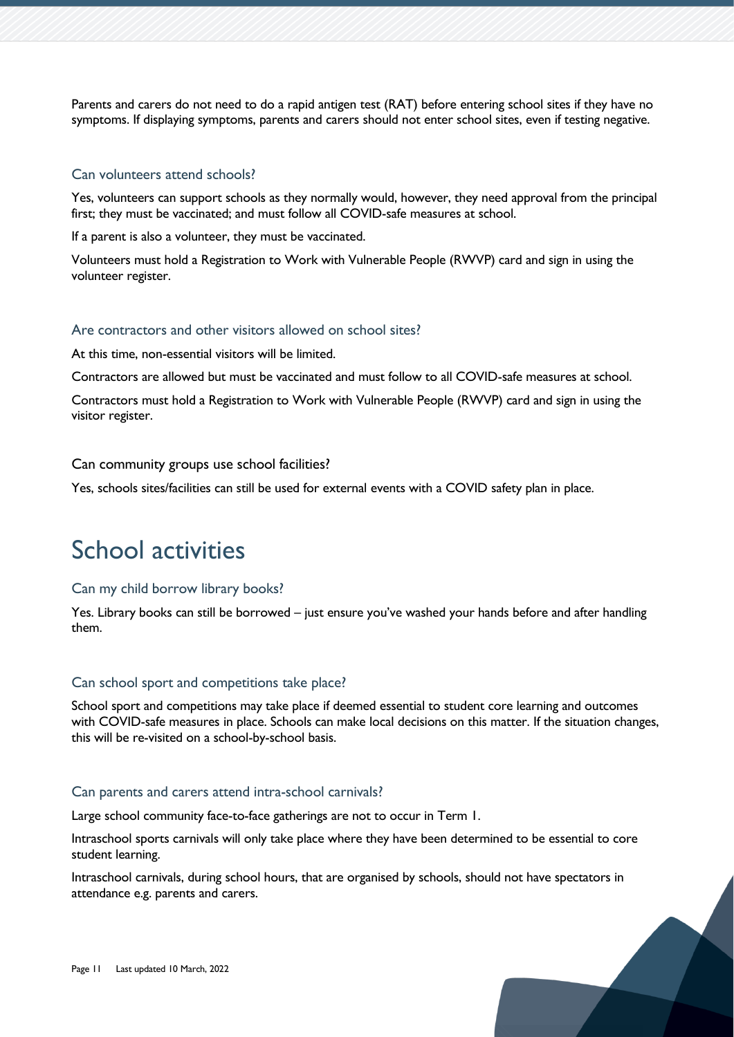Parents and carers do not need to do a rapid antigen test (RAT) before entering school sites if they have no symptoms. If displaying symptoms, parents and carers should not enter school sites, even if testing negative.

### Can volunteers attend schools?

Yes, volunteers can support schools as they normally would, however, they need approval from the principal first; they must be vaccinated; and must follow all COVID-safe measures at school.

If a parent is also a volunteer, they must be vaccinated.

Volunteers must hold a Registration to Work with Vulnerable People (RWVP) card and sign in using the volunteer register.

# Are contractors and other visitors allowed on school sites?

At this time, non-essential visitors will be limited.

Contractors are allowed but must be vaccinated and must follow to all COVID-safe measures at school.

Contractors must hold a Registration to Work with Vulnerable People (RWVP) card and sign in using the visitor register.

### Can community groups use school facilities?

Yes, schools sites/facilities can still be used for external events with a COVID safety plan in place.

# <span id="page-10-0"></span>School activities

#### Can my child borrow library books?

Yes. Library books can still be borrowed – just ensure you've washed your hands before and after handling them.

#### Can school sport and competitions take place?

School sport and competitions may take place if deemed essential to student core learning and outcomes with COVID-safe measures in place. Schools can make local decisions on this matter. If the situation changes, this will be re-visited on a school-by-school basis.

#### Can parents and carers attend intra-school carnivals?

Large school community face-to-face gatherings are not to occur in Term 1.

Intraschool sports carnivals will only take place where they have been determined to be essential to core student learning.

Intraschool carnivals, during school hours, that are organised by schools, should not have spectators in attendance e.g. parents and carers.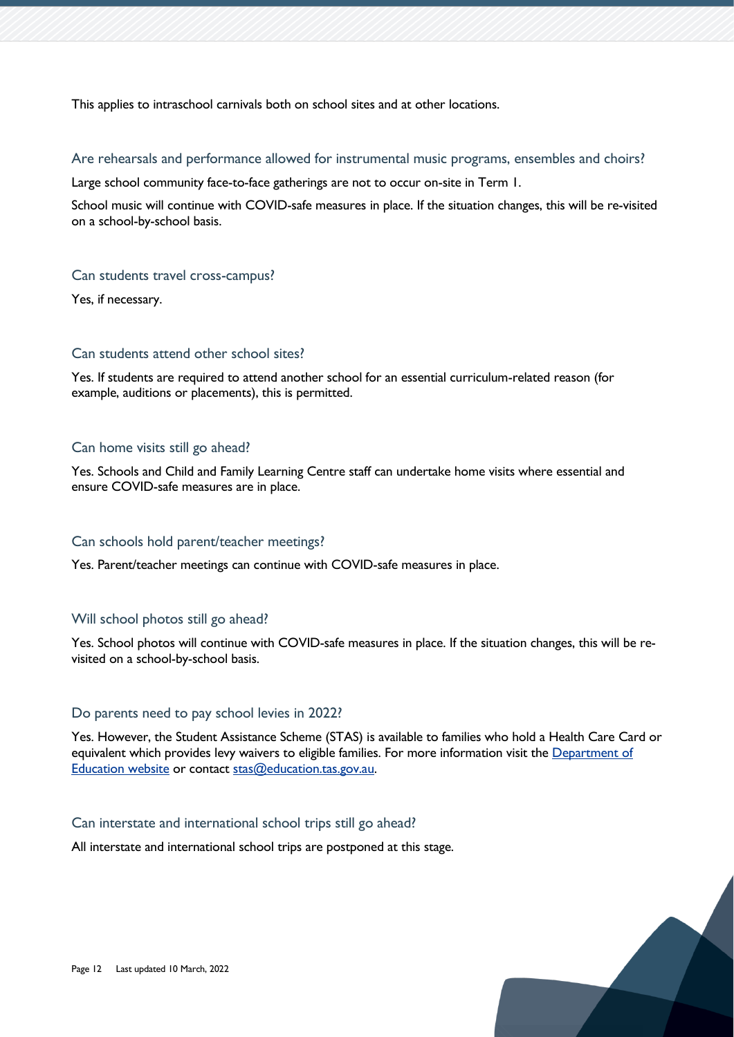This applies to intraschool carnivals both on school sites and at other locations.

Are rehearsals and performance allowed for instrumental music programs, ensembles and choirs?

Large school community face-to-face gatherings are not to occur on-site in Term 1.

School music will continue with COVID-safe measures in place. If the situation changes, this will be re-visited on a school-by-school basis.

# Can students travel cross-campus?

Yes, if necessary.

# Can students attend other school sites?

Yes. If students are required to attend another school for an essential curriculum-related reason (for example, auditions or placements), this is permitted.

# Can home visits still go ahead?

Yes. Schools and Child and Family Learning Centre staff can undertake home visits where essential and ensure COVID-safe measures are in place.

# Can schools hold parent/teacher meetings?

Yes. Parent/teacher meetings can continue with COVID-safe measures in place.

# Will school photos still go ahead?

Yes. School photos will continue with COVID-safe measures in place. If the situation changes, this will be revisited on a school-by-school basis.

# Do parents need to pay school levies in 2022?

Yes. However, the Student Assistance Scheme (STAS) is available to families who hold a Health Care Card or equivalent which provides levy waivers to eligible families. For more information visit the [Department of](https://www.education.tas.gov.au/parents-carers/parent-fact-sheets/fees-levies/)  [Education website](https://www.education.tas.gov.au/parents-carers/parent-fact-sheets/fees-levies/) or contact [stas@education.tas.gov.au.](mailto:stas@education.tas.gov.au)

# Can interstate and international school trips still go ahead?

All interstate and international school trips are postponed at this stage.

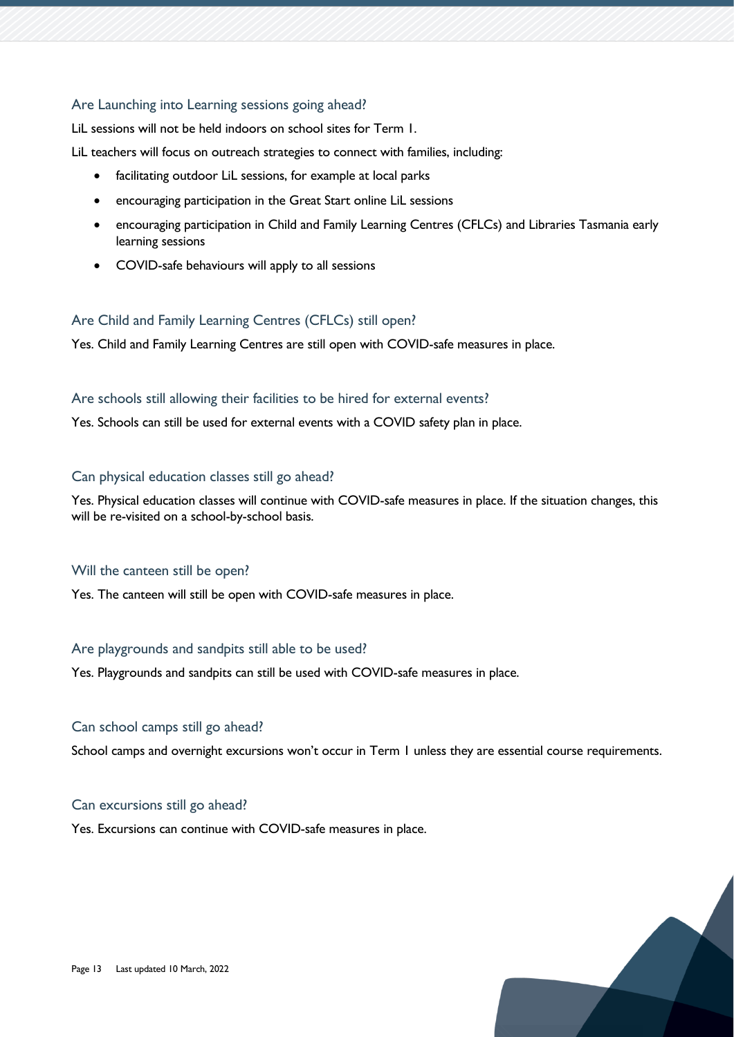# Are Launching into Learning sessions going ahead?

LiL sessions will not be held indoors on school sites for Term 1.

LiL teachers will focus on outreach strategies to connect with families, including:

- facilitating outdoor LiL sessions, for example at local parks
- encouraging participation in the Great Start online LiL sessions
- encouraging participation in Child and Family Learning Centres (CFLCs) and Libraries Tasmania early learning sessions
- COVID-safe behaviours will apply to all sessions

# Are Child and Family Learning Centres (CFLCs) still open?

Yes. Child and Family Learning Centres are still open with COVID-safe measures in place.

#### Are schools still allowing their facilities to be hired for external events?

Yes. Schools can still be used for external events with a COVID safety plan in place.

# Can physical education classes still go ahead?

Yes. Physical education classes will continue with COVID-safe measures in place. If the situation changes, this will be re-visited on a school-by-school basis.

#### Will the canteen still be open?

Yes. The canteen will still be open with COVID-safe measures in place.

# Are playgrounds and sandpits still able to be used?

Yes. Playgrounds and sandpits can still be used with COVID-safe measures in place.

# Can school camps still go ahead?

School camps and overnight excursions won't occur in Term 1 unless they are essential course requirements.

# Can excursions still go ahead?

Yes. Excursions can continue with COVID-safe measures in place.

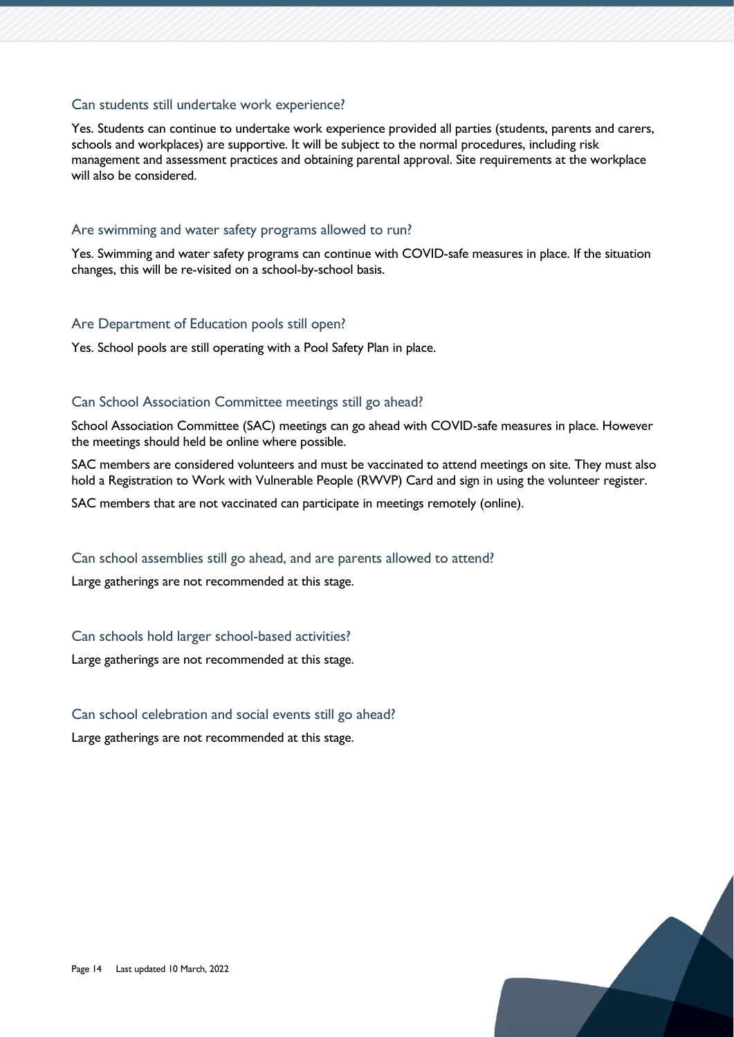# Can students still undertake work experience?

Yes. Students can continue to undertake work experience provided all parties (students, parents and carers, schools and workplaces) are supportive. It will be subject to the normal procedures, including risk management and assessment practices and obtaining parental approval. Site requirements at the workplace will also be considered.

#### Are swimming and water safety programs allowed to run?

Yes. Swimming and water safety programs can continue with COVID-safe measures in place. If the situation changes, this will be re-visited on a school-by-school basis.

#### Are Department of Education pools still open?

Yes. School pools are still operating with a Pool Safety Plan in place.

# Can School Association Committee meetings still go ahead?

School Association Committee (SAC) meetings can go ahead with COVID-safe measures in place. However the meetings should held be online where possible.

SAC members are considered volunteers and must be vaccinated to attend meetings on site. They must also hold a Registration to Work with Vulnerable People (RWVP) Card and sign in using the volunteer register.

SAC members that are not vaccinated can participate in meetings remotely (online).

#### Can school assemblies still go ahead, and are parents allowed to attend?

Large gatherings are not recommended at this stage.

#### Can schools hold larger school-based activities?

Large gatherings are not recommended at this stage.

#### Can school celebration and social events still go ahead?

Large gatherings are not recommended at this stage.

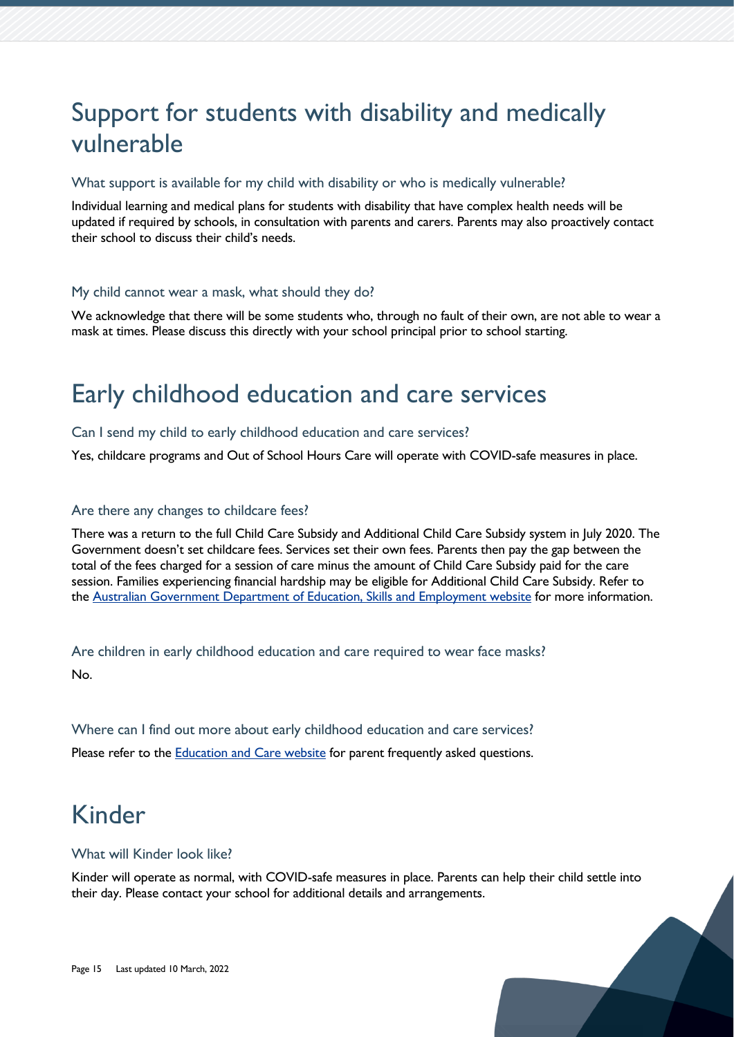# <span id="page-14-0"></span>Support for students with disability and medically vulnerable

### What support is available for my child with disability or who is medically vulnerable?

Individual learning and medical plans for students with disability that have complex health needs will be updated if required by schools, in consultation with parents and carers. Parents may also proactively contact their school to discuss their child's needs.

#### My child cannot wear a mask, what should they do?

We acknowledge that there will be some students who, through no fault of their own, are not able to wear a mask at times. Please discuss this directly with your school principal prior to school starting.

# <span id="page-14-1"></span>Early childhood education and care services

#### Can I send my child to early childhood education and care services?

Yes, childcare programs and Out of School Hours Care will operate with COVID-safe measures in place.

#### Are there any changes to childcare fees?

There was a return to the full Child Care Subsidy and Additional Child Care Subsidy system in July 2020. The Government doesn't set childcare fees. Services set their own fees. Parents then pay the gap between the total of the fees charged for a session of care minus the amount of Child Care Subsidy paid for the care session. Families experiencing financial hardship may be eligible for Additional Child Care Subsidy. Refer to the [Australian Government Department of Education, Skills and Employment website](https://www.dese.gov.au/covid-19/childcare) for more information.

Are children in early childhood education and care required to wear face masks? No.

Where can I find out more about early childhood education and care services? Please refer to the [Education and Care website](https://educationandcare.tas.gov.au/) for parent frequently asked questions.

# <span id="page-14-2"></span>Kinder

#### What will Kinder look like?

Kinder will operate as normal, with COVID-safe measures in place. Parents can help their child settle into their day. Please contact your school for additional details and arrangements.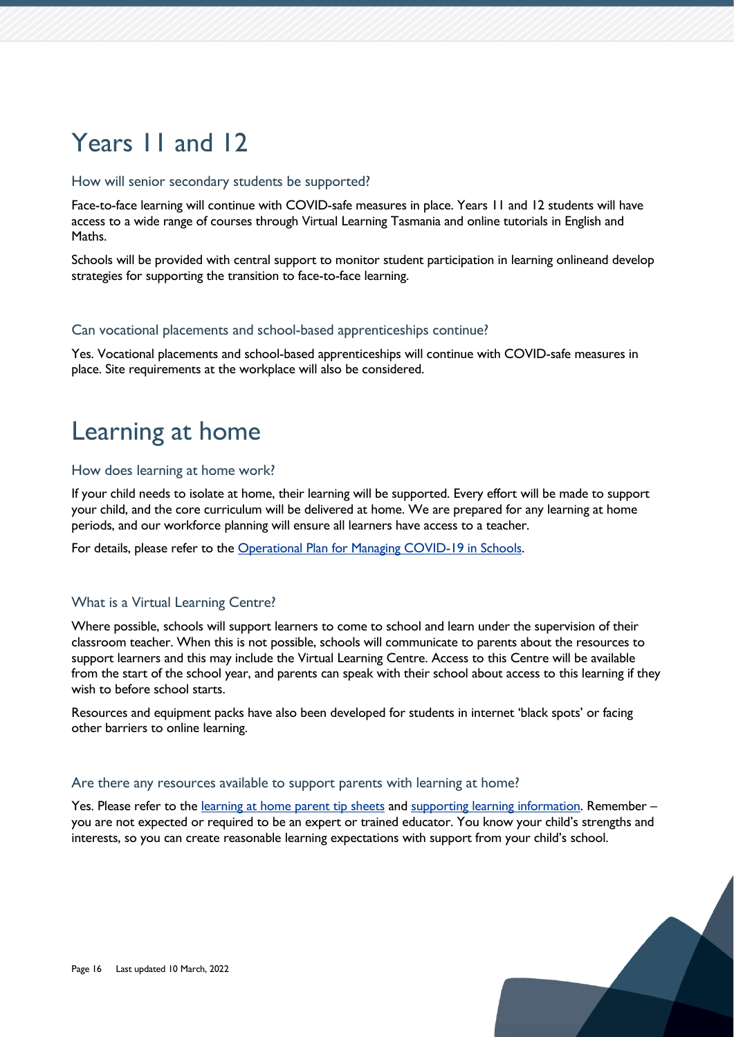# <span id="page-15-0"></span>Years 11 and 12

### How will senior secondary students be supported?

Face-to-face learning will continue with COVID-safe measures in place. Years 11 and 12 students will have access to a wide range of courses through Virtual Learning Tasmania and online tutorials in English and Maths.

Schools will be provided with central support to monitor student participation in learning onlineand develop strategies for supporting the transition to face-to-face learning.

#### Can vocational placements and school-based apprenticeships continue?

Yes. Vocational placements and school-based apprenticeships will continue with COVID-safe measures in place. Site requirements at the workplace will also be considered.

# <span id="page-15-1"></span>Learning at home

#### How does learning at home work?

If your child needs to isolate at home, their learning will be supported. Every effort will be made to support your child, and the core curriculum will be delivered at home. We are prepared for any learning at home periods, and our workforce planning will ensure all learners have access to a teacher.

For details, please refer to the [Operational Plan for Managing COVID-19 in Schools.](https://www.education.tas.gov.au/parents-carers/novel-coronavirus-covid-19/covid-operational-plan/)

# What is a Virtual Learning Centre?

Where possible, schools will support learners to come to school and learn under the supervision of their classroom teacher. When this is not possible, schools will communicate to parents about the resources to support learners and this may include the Virtual Learning Centre. Access to this Centre will be available from the start of the school year, and parents can speak with their school about access to this learning if they wish to before school starts.

Resources and equipment packs have also been developed for students in internet 'black spots' or facing other barriers to online learning.

#### Are there any resources available to support parents with learning at home?

Yes. Please refer to the learning at [home parent tip sheets](https://www.education.tas.gov.au/parents-carers/novel-coronavirus-covid-19/) and [supporting learning information.](https://www.education.tas.gov.au/learning-at-home/supporting-learning-at-home/) Remember – you are not expected or required to be an expert or trained educator. You know your child's strengths and interests, so you can create reasonable learning expectations with support from your child's school.

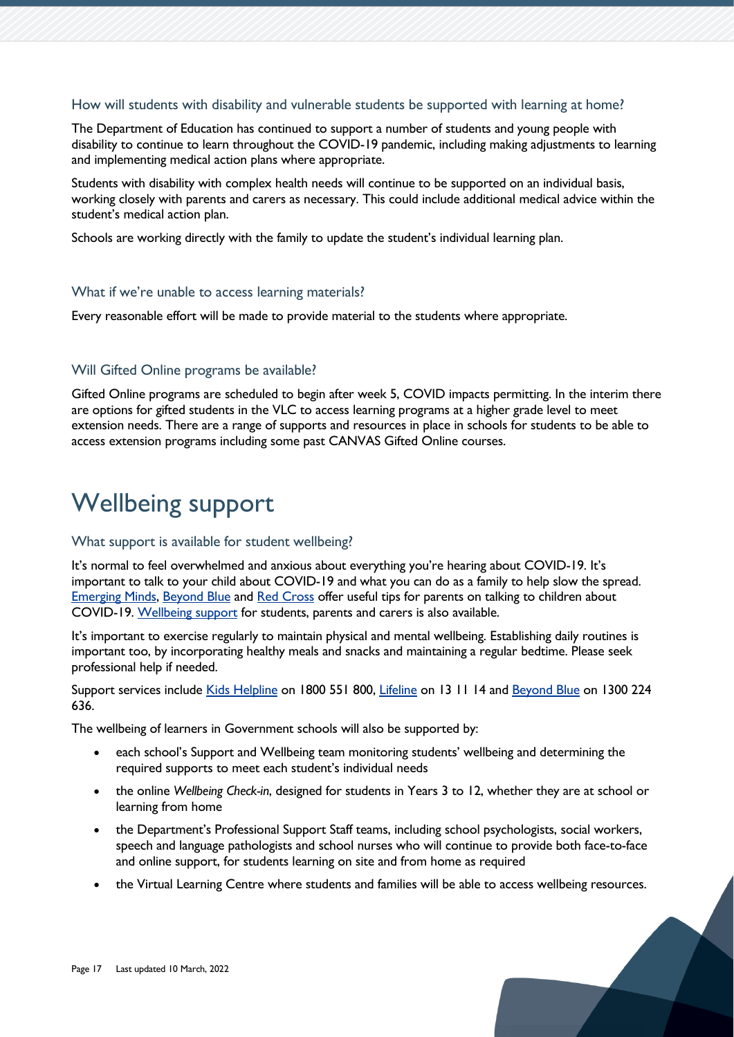#### How will students with disability and vulnerable students be supported with learning at home?

The Department of Education has continued to support a number of students and young people with disability to continue to learn throughout the COVID-19 pandemic, including making adjustments to learning and implementing medical action plans where appropriate.

Students with disability with complex health needs will continue to be supported on an individual basis, working closely with parents and carers as necessary. This could include additional medical advice within the student's medical action plan.

Schools are working directly with the family to update the student's individual learning plan.

#### What if we're unable to access learning materials?

Every reasonable effort will be made to provide material to the students where appropriate.

# Will Gifted Online programs be available?

Gifted Online programs are scheduled to begin after week 5, COVID impacts permitting. In the interim there are options for gifted students in the VLC to access learning programs at a higher grade level to meet extension needs. There are a range of supports and resources in place in schools for students to be able to access extension programs including some past CANVAS Gifted Online courses.

# <span id="page-16-0"></span>Wellbeing support

#### What support is available for student wellbeing?

It's normal to feel overwhelmed and anxious about everything you're hearing about COVID-19. It's important to talk to your child about COVID-19 and what you can do as a family to help slow the spread. [Emerging Minds,](https://emergingminds.com.au/resources/supporting-children-during-the-coronavirus-covid-19-outbreak/) [Beyond Blue](https://coronavirus.beyondblue.org.au/I) and [Red Cross](https://www.redcross.org.au/stories/covid/talking-to-kids-about-covid-19/) offer useful tips for parents on talking to children about COVID-19. [Wellbeing support](https://www.education.tas.gov.au/learning-at-home/wellbeing/) for students, parents and carers is also available.

It's important to exercise regularly to maintain physical and mental wellbeing. Establishing daily routines is important too, by incorporating healthy meals and snacks and maintaining a regular bedtime. Please seek professional help if needed.

Support services include [Kids Helpline](https://kidshelpline.com.au/) on 1800 551 800, [Lifeline](https://www.lifeline.org.au/) on 13 11 14 and [Beyond Blue](https://www.beyondblue.org.au/) on 1300 224 636.

The wellbeing of learners in Government schools will also be supported by:

- each school's Support and Wellbeing team monitoring students' wellbeing and determining the required supports to meet each student's individual needs
- the online *Wellbeing Check-in*, designed for students in Years 3 to 12, whether they are at school or learning from home
- the Department's Professional Support Staff teams, including school psychologists, social workers, speech and language pathologists and school nurses who will continue to provide both face-to-face and online support, for students learning on site and from home as required
- the Virtual Learning Centre where students and families will be able to access wellbeing resources.